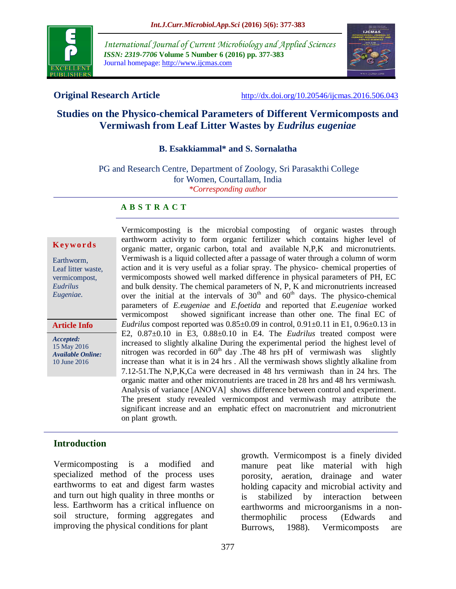

*International Journal of Current Microbiology and Applied Sciences ISSN: 2319-7706* **Volume 5 Number 6 (2016) pp. 377-383** Journal homepage: http://www.ijcmas.com



**Original Research Article** <http://dx.doi.org/10.20546/ijcmas.2016.506.043>

# **Studies on the Physico-chemical Parameters of Different Vermicomposts and Vermiwash from Leaf Litter Wastes by** *Eudrilus eugeniae*

#### **B. Esakkiammal\* and S. Sornalatha**

PG and Research Centre, Department of Zoology, Sri Parasakthi College for Women, Courtallam, India *\*Corresponding author*

#### **A B S T R A C T**

#### **K ey w o rd s**

Earthworm, Leaf litter waste, vermicompost, *Eudrilus Eugeniae.*

**Article Info**

*Accepted:*  15 May 2016 *Available Online:* 10 June 2016

Vermicomposting is the microbial composting of organic wastes through earthworm activity to form organic fertilizer which contains higher level of organic matter, organic carbon, total and available N,P,K and micronutrients. Vermiwash is a liquid collected after a passage of water through a column of worm action and it is very useful as a foliar spray. The physico- chemical properties of vermicomposts showed well marked difference in physical parameters of PH, EC and bulk density. The chemical parameters of N, P, K and micronutrients increased over the initial at the intervals of  $30<sup>th</sup>$  and  $60<sup>th</sup>$  days. The physico-chemical parameters of *E.eugeniae* and *E.foetida* and reported that *E.eugeniae* worked vermicompost showed significant increase than other one. The final EC of *Eudrilus* compost reported was  $0.85 \pm 0.09$  in control,  $0.91 \pm 0.11$  in E1,  $0.96 \pm 0.13$  in E2, 0.87±0.10 in E3, 0.88±0.10 in E4. The *Eudrilus* treated compost were increased to slightly alkaline During the experimental period the highest level of nitrogen was recorded in  $60<sup>th</sup>$  day . The 48 hrs pH of vermiwash was slightly increase than what it is in 24 hrs . All the vermiwash shows slightly alkaline from 7.12-51.The N,P,K,Ca were decreased in 48 hrs vermiwash than in 24 hrs. The organic matter and other micronutrients are traced in 28 hrs and 48 hrs vermiwash. Analysis of variance [ANOVA] shows difference between control and experiment. The present study revealed vermicompost and vermiwash may attribute the significant increase and an emphatic effect on macronutrient and micronutrient on plant growth.

### **Introduction**

Vermicomposting is a modified and specialized method of the process uses earthworms to eat and digest farm wastes and turn out high quality in three months or less. Earthworm has a critical influence on soil structure, forming aggregates and improving the physical conditions for plant

growth. Vermicompost is a finely divided manure peat like material with high porosity, aeration, drainage and water holding capacity and microbial activity and stabilized by interaction between earthworms and microorganisms in a nonthermophilic process (Edwards and Burrows, 1988). Vermicomposts are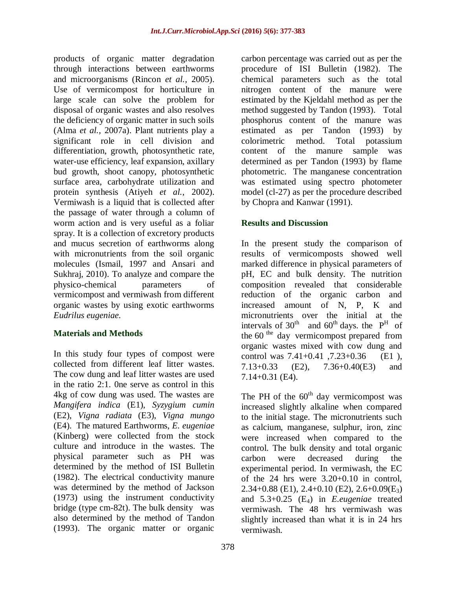products of organic matter degradation through interactions between earthworms and microorganisms (Rincon *et al.,* 2005). Use of vermicompost for horticulture in large scale can solve the problem for disposal of organic wastes and also resolves the deficiency of organic matter in such soils (Alma *et al.,* 2007a). Plant nutrients play a significant role in cell division and differentiation, growth, photosynthetic rate, water-use efficiency, leaf expansion, axillary bud growth, shoot canopy, photosynthetic surface area, carbohydrate utilization and protein synthesis (Atiyeh *et al.,* 2002). Vermiwash is a liquid that is collected after the passage of water through a column of worm action and is very useful as a foliar spray. It is a collection of excretory products and mucus secretion of earthworms along with micronutrients from the soil organic molecules (Ismail, 1997 and Ansari and Sukhraj, 2010). To analyze and compare the physico-chemical parameters of vermicompost and vermiwash from different organic wastes by using exotic earthworms *Eudrilus eugeniae.*

### **Materials and Methods**

In this study four types of compost were collected from different leaf litter wastes. The cow dung and leaf litter wastes are used in the ratio 2:1. 0ne serve as control in this 4kg of cow dung was used. The wastes are *Mangifera indica* (E1), *Syzygium cumin* (E2), *Vigna radiata* (E3), *Vigna mungo* (E4). The matured Earthworms, *E. eugeniae* (Kinberg) were collected from the stock culture and introduce in the wastes. The physical parameter such as PH was determined by the method of ISI Bulletin (1982). The electrical conductivity manure was determined by the method of Jackson (1973) using the instrument conductivity bridge (type cm-82t). The bulk density was also determined by the method of Tandon (1993). The organic matter or organic

carbon percentage was carried out as per the procedure of ISI Bulletin (1982). The chemical parameters such as the total nitrogen content of the manure were estimated by the Kjeldahl method as per the method suggested by Tandon (1993). Total phosphorus content of the manure was estimated as per Tandon (1993) by colorimetric method. Total potassium content of the manure sample was determined as per Tandon (1993) by flame photometric. The manganese concentration was estimated using spectro photometer model (cl-27) as per the procedure described by Chopra and Kanwar (1991).

## **Results and Discussion**

In the present study the comparison of results of vermicomposts showed well marked difference in physical parameters of pH, EC and bulk density. The nutrition composition revealed that considerable reduction of the organic carbon and increased amount of N, P, K and micronutrients over the initial at the intervals of  $30<sup>th</sup>$  and  $60<sup>th</sup>$  days. the  $P<sup>H</sup>$  of the  $60<sup>the</sup>$  day vermicompost prepared from organic wastes mixed with cow dung and control was 7.41+0.41 ,7.23+0.36 (E1 ), 7.13+0.33 (E2), 7.36+0.40(E3) and 7.14+0.31 (E4).

The PH of the  $60<sup>th</sup>$  day vermicompost was increased slightly alkaline when compared to the initial stage. The micronutrients such as calcium, manganese, sulphur, iron, zinc were increased when compared to the control. The bulk density and total organic carbon were decreased during the experimental period. In vermiwash, the EC of the 24 hrs were 3.20+0.10 in control,  $2.34+0.88$  (E1),  $2.4+0.10$  (E2),  $2.6+0.09(E_3)$ and 5.3+0.25 (E4) in *E.eugeniae* treated vermiwash. The 48 hrs vermiwash was slightly increased than what it is in 24 hrs vermiwash.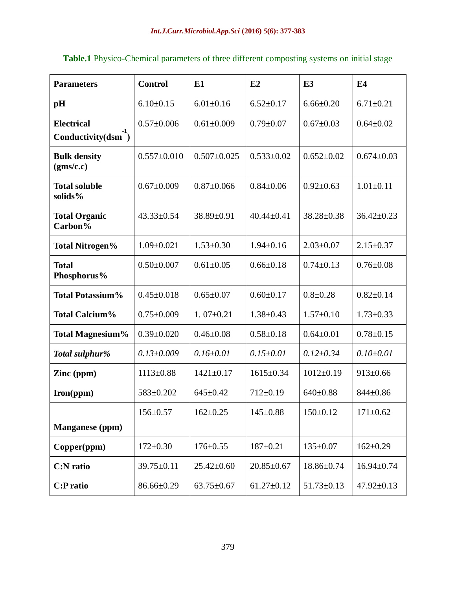| <b>Parameters</b>                              | <b>Control</b>    | E1                | E2               | E <sub>3</sub>   | E <sub>4</sub>   |
|------------------------------------------------|-------------------|-------------------|------------------|------------------|------------------|
| pH                                             | $6.10 \pm 0.15$   | $6.01 \pm 0.16$   | $6.52 \pm 0.17$  | $6.66 \pm 0.20$  | $6.71 \pm 0.21$  |
| <b>Electrical</b><br>Conductivity $(dsm^{-1})$ | $0.57 \pm 0.006$  | $0.61 \pm 0.009$  | $0.79 \pm 0.07$  | $0.67 \pm 0.03$  | $0.64 \pm 0.02$  |
| <b>Bulk density</b><br>(gms/c.c)               | $0.557 \pm 0.010$ | $0.507 \pm 0.025$ | $0.533 \pm 0.02$ | $0.652 \pm 0.02$ | $0.674 \pm 0.03$ |
| <b>Total soluble</b><br>solids%                | $0.67 \pm 0.009$  | $0.87 \pm 0.066$  | $0.84 \pm 0.06$  | $0.92 \pm 0.63$  | $1.01 \pm 0.11$  |
| <b>Total Organic</b><br>Carbon%                | $43.33 \pm 0.54$  | 38.89±0.91        | $40.44 \pm 0.41$ | $38.28 \pm 0.38$ | $36.42 \pm 0.23$ |
| <b>Total Nitrogen%</b>                         | $1.09 \pm 0.021$  | $1.53 \pm 0.30$   | $1.94 \pm 0.16$  | $2.03 \pm 0.07$  | $2.15 \pm 0.37$  |
| <b>Total</b><br>Phosphorus%                    | $0.50 \pm 0.007$  | $0.61 \pm 0.05$   | $0.66 \pm 0.18$  | $0.74 \pm 0.13$  | $0.76 \pm 0.08$  |
| <b>Total Potassium%</b>                        | $0.45 \pm 0.018$  | $0.65 \pm 0.07$   | $0.60 \pm 0.17$  | $0.8 + 0.28$     | $0.82 \pm 0.14$  |
| <b>Total Calcium%</b>                          | $0.75 \pm 0.009$  | $1.07 \pm 0.21$   | $1.38 \pm 0.43$  | $1.57 \pm 0.10$  | $1.73 \pm 0.33$  |
| <b>Total Magnesium%</b>                        | $0.39 \pm 0.020$  | $0.46 \pm 0.08$   | $0.58 \pm 0.18$  | $0.64 \pm 0.01$  | $0.78 \pm 0.15$  |
| Total sulphur%                                 | $0.13 \pm 0.009$  | $0.16 \pm 0.01$   | $0.15 \pm 0.01$  | $0.12{\pm}0.34$  | $0.10{\pm}0.01$  |
| Zinc (ppm)                                     | $1113 \pm 0.88$   | $1421 \pm 0.17$   | $1615 \pm 0.34$  | $1012 \pm 0.19$  | $913 \pm 0.66$   |
| Iron(ppm)                                      | 583±0.202         | $645 \pm 0.42$    | $712 \pm 0.19$   | $640 \pm 0.88$   | $844 \pm 0.86$   |
|                                                | 156±0.57          | $162 \pm 0.25$    | $145 \pm 0.88$   | $150 \pm 0.12$   | $171 \pm 0.62$   |
| <b>Manganese</b> (ppm)                         |                   |                   |                  |                  |                  |
| Copper(ppm)                                    | $172 \pm 0.30$    | $176 \pm 0.55$    | $187 \pm 0.21$   | $135 \pm 0.07$   | $162 \pm 0.29$   |
| <b>C:N</b> ratio                               | 39.75±0.11        | $25.42 \pm 0.60$  | $20.85 \pm 0.67$ | $18.86 \pm 0.74$ | $16.94 \pm 0.74$ |
| <b>C:P</b> ratio                               | $86.66 \pm 0.29$  | $63.75 \pm 0.67$  | $61.27 \pm 0.12$ | $51.73 \pm 0.13$ | $47.92 \pm 0.13$ |

# **Table.1** Physico-Chemical parameters of three different composting systems on initial stage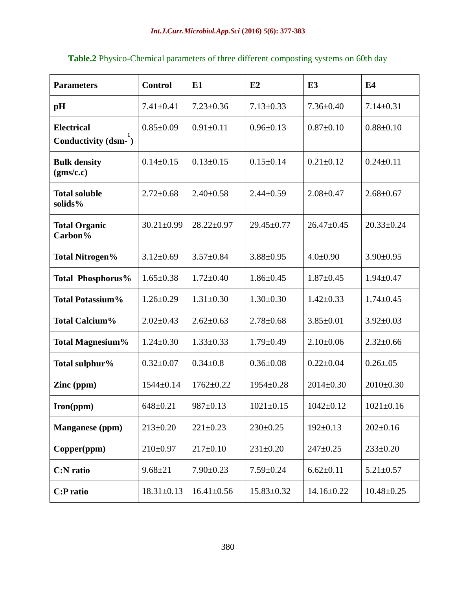| <b>Parameters</b>                           | <b>Control</b>   | E1               | E2               | E <sub>3</sub>   | E4               |
|---------------------------------------------|------------------|------------------|------------------|------------------|------------------|
| pH                                          | $7.41 \pm 0.41$  | $7.23 \pm 0.36$  | $7.13 \pm 0.33$  | $7.36 \pm 0.40$  | $7.14 \pm 0.31$  |
| <b>Electrical</b><br>Conductivity $(dsm-1)$ | $0.85 \pm 0.09$  | $0.91 \pm 0.11$  | $0.96 \pm 0.13$  | $0.87 \pm 0.10$  | $0.88 \pm 0.10$  |
| <b>Bulk density</b><br>(gms/c.c)            | $0.14 \pm 0.15$  | $0.13 \pm 0.15$  | $0.15 \pm 0.14$  | $0.21 \pm 0.12$  | $0.24 \pm 0.11$  |
| <b>Total soluble</b><br>solids%             | $2.72 \pm 0.68$  | $2.40 \pm 0.58$  | $2.44 \pm 0.59$  | $2.08 \pm 0.47$  | $2.68 \pm 0.67$  |
| <b>Total Organic</b><br>Carbon%             | $30.21 \pm 0.99$ | $28.22 \pm 0.97$ | $29.45 \pm 0.77$ | $26.47 \pm 0.45$ | $20.33 \pm 0.24$ |
| <b>Total Nitrogen%</b>                      | $3.12 \pm 0.69$  | $3.57 \pm 0.84$  | $3.88 \pm 0.95$  | $4.0 \pm 0.90$   | $3.90 \pm 0.95$  |
| Total Phosphorus%                           | $1.65 \pm 0.38$  | $1.72 \pm 0.40$  | $1.86 \pm 0.45$  | $1.87 \pm 0.45$  | $1.94 \pm 0.47$  |
| <b>Total Potassium%</b>                     | $1.26 \pm 0.29$  | $1.31 \pm 0.30$  | $1.30 \pm 0.30$  | $1.42 \pm 0.33$  | $1.74 \pm 0.45$  |
| <b>Total Calcium%</b>                       | $2.02 \pm 0.43$  | $2.62 \pm 0.63$  | $2.78 \pm 0.68$  | $3.85 \pm 0.01$  | $3.92 \pm 0.03$  |
| <b>Total Magnesium%</b>                     | $1.24 \pm 0.30$  | $1.33 \pm 0.33$  | $1.79 \pm 0.49$  | $2.10\pm0.06$    | $2.32 \pm 0.66$  |
| Total sulphur%                              | $0.32 \pm 0.07$  | $0.34 \pm 0.8$   | $0.36 \pm 0.08$  | $0.22 \pm 0.04$  | $0.26 \pm 0.05$  |
| Zinc (ppm)                                  | $1544 \pm 0.14$  | $1762 \pm 0.22$  | $1954 \pm 0.28$  | $2014 \pm 0.30$  | $2010 \pm 0.30$  |
| Iron(ppm)                                   | $648 \pm 0.21$   | $987 \pm 0.13$   | $1021 \pm 0.15$  | $1042 \pm 0.12$  | $1021 \pm 0.16$  |
| Manganese (ppm)                             | $213 \pm 0.20$   | $221 \pm 0.23$   | $230 \pm 0.25$   | $192 \pm 0.13$   | $202 \pm 0.16$   |
| Copper(ppm)                                 | $210 \pm 0.97$   | $217 \pm 0.10$   | $231 \pm 0.20$   | $247 \pm 0.25$   | $233 \pm 0.20$   |
| C:N ratio                                   | $9.68 \pm 21$    | $7.90 \pm 0.23$  | $7.59 \pm 0.24$  | $6.62 \pm 0.11$  | $5.21 \pm 0.57$  |
| C:P ratio                                   | $18.31 \pm 0.13$ | $16.41 \pm 0.56$ | $15.83 \pm 0.32$ | $14.16 \pm 0.22$ | $10.48 \pm 0.25$ |

|  | Table.2 Physico-Chemical parameters of three different composting systems on 60th day |  |  |
|--|---------------------------------------------------------------------------------------|--|--|
|--|---------------------------------------------------------------------------------------|--|--|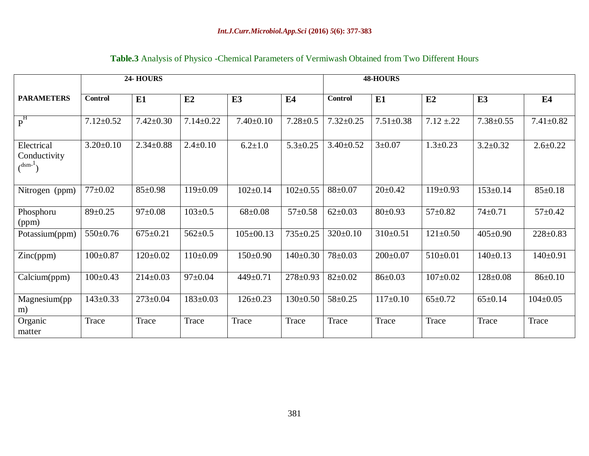|  |  |  |  |  | <b>Table.3</b> Analysis of Physico - Chemical Parameters of Vermiwash Obtained from Two Different Hours |
|--|--|--|--|--|---------------------------------------------------------------------------------------------------------|
|--|--|--|--|--|---------------------------------------------------------------------------------------------------------|

|                                                         | 24-HOURS        |                 |                 |                 | <b>48-HOURS</b> |                 |                 |                |                 |                 |
|---------------------------------------------------------|-----------------|-----------------|-----------------|-----------------|-----------------|-----------------|-----------------|----------------|-----------------|-----------------|
| <b>PARAMETERS</b>                                       | <b>Control</b>  | E1              | E2              | E <sub>3</sub>  | E4              | <b>Control</b>  | E1              | E2             | E <sub>3</sub>  | E4              |
| $P^{\overline{H}}$                                      | $7.12 \pm 0.52$ | $7.42 \pm 0.30$ | $7.14 \pm 0.22$ | $7.40 \pm 0.10$ | $7.28 \pm 0.5$  | $7.32 \pm 0.25$ | $7.51 \pm 0.38$ | $7.12 \pm 22$  | $7.38 \pm 0.55$ | $7.41 \pm 0.82$ |
| Electrical<br>Conductivity<br>$\left($ <sup>dsm-1</sup> | $3.20 \pm 0.10$ | $2.34 \pm 0.88$ | $2.4 \pm 0.10$  | $6.2 \pm 1.0$   | $5.3 \pm 0.25$  | $3.40 \pm 0.52$ | $3 \pm 0.07$    | $1.3 \pm 0.23$ | $3.2 \pm 0.32$  | $2.6 \pm 0.22$  |
| Nitrogen (ppm)                                          | $77+0.02$       | $85 \pm 0.98$   | $119 \pm 0.09$  | $102 \pm 0.14$  | $102 \pm 0.55$  | $88 + 0.07$     | $20 \pm 0.42$   | $119 \pm 0.93$ | $153 \pm 0.14$  | $85 \pm 0.18$   |
| Phosphoru<br>(ppm)                                      | $89 \pm 0.25$   | $97 \pm 0.08$   | $103 \pm 0.5$   | $68 \pm 0.08$   | $57 \pm 0.58$   | $62 \pm 0.03$   | $80 \pm 0.93$   | $57 \pm 0.82$  | $74 \pm 0.71$   | $57+0.42$       |
| Potassium(ppm)                                          | 550±0.76        | $675 \pm 0.21$  | $562 \pm 0.5$   | $105 \pm 00.13$ | 735±0.25        | $320 \pm 0.10$  | $310 \pm 0.51$  | $121 \pm 0.50$ | $405 \pm 0.90$  | $228 \pm 0.83$  |
| Zinc(ppm)                                               | $100 \pm 0.87$  | $120 \pm 0.02$  | $110\pm0.09$    | $150 \pm 0.90$  | $140 \pm 0.30$  | 78±0.03         | $200 \pm 0.07$  | $510\pm0.01$   | $140 \pm 0.13$  | $140 \pm 0.91$  |
| Calcium(ppm)                                            | $100 \pm 0.43$  | $214 \pm 0.03$  | $97 \pm 0.04$   | 449±0.71        | $278 \pm 0.93$  | $82 \pm 0.02$   | $86 \pm 0.03$   | $107 \pm 0.02$ | $128 \pm 0.08$  | $86 \pm 0.10$   |
| Magnesium(pp<br>m)                                      | $143 \pm 0.33$  | $273 \pm 0.04$  | $183 \pm 0.03$  | $126 \pm 0.23$  | $130 \pm 0.50$  | $58 \pm 0.25$   | $117\pm0.10$    | $65 \pm 0.72$  | $65 \pm 0.14$   | $104 \pm 0.05$  |
| Organic<br>matter                                       | Trace           | Trace           | Trace           | Trace           | Trace           | Trace           | Trace           | Trace          | Trace           | Trace           |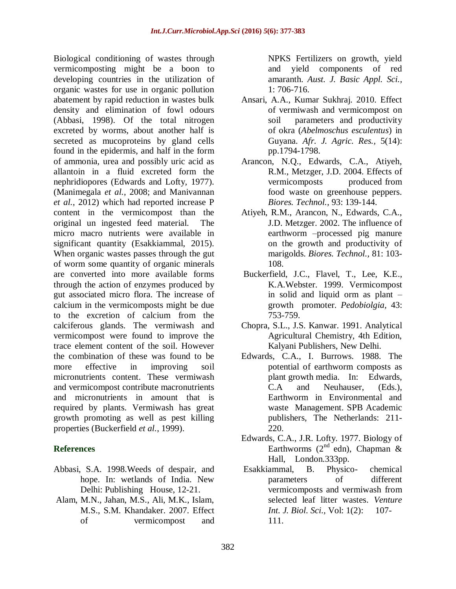Biological conditioning of wastes through vermicomposting might be a boon to developing countries in the utilization of organic wastes for use in organic pollution abatement by rapid reduction in wastes bulk density and elimination of fowl odours (Abbasi, 1998). Of the total nitrogen excreted by worms, about another half is secreted as mucoproteins by gland cells found in the epidermis, and half in the form of ammonia, urea and possibly uric acid as allantoin in a fluid excreted form the nephridiopores (Edwards and Lofty, 1977). (Manimegala *et al.*, 2008; and Manivannan *et al.*, 2012) which had reported increase P content in the vermicompost than the original un ingested feed material. The micro macro nutrients were available in significant quantity (Esakkiammal, 2015). When organic wastes passes through the gut of worm some quantity of organic minerals are converted into more available forms through the action of enzymes produced by gut associated micro flora. The increase of calcium in the vermicomposts might be due to the excretion of calcium from the calciferous glands. The vermiwash and vermicompost were found to improve the trace element content of the soil. However the combination of these was found to be more effective in improving soil micronutrients content. These vermiwash and vermicompost contribute macronutrients and micronutrients in amount that is required by plants. Vermiwash has great growth promoting as well as pest killing properties (Buckerfield *et al.*, 1999).

### **References**

- Abbasi, S.A. 1998.Weeds of despair, and hope. In: wetlands of India. New Delhi: Publishing House, 12-21.
- Alam, M.N., Jahan, M.S., Ali, M.K., Islam, M.S., S.M. Khandaker. 2007. Effect of vermicompost and

NPKS Fertilizers on growth, yield and yield components of red amaranth. *Aust. J. Basic Appl. Sci.,*  1: 706-716.

- Ansari, A.A., Kumar Sukhraj. 2010. Effect of vermiwash and vermicompost on soil parameters and productivity of okra (*Abelmoschus esculentus*) in Guyana. *Afr. J. Agric. Res.,* 5(14): pp.1794-1798.
- Arancon, N.Q., Edwards, C.A., Atiyeh, R.M., Metzger, J.D. 2004. Effects of vermicomposts produced from food waste on greenhouse peppers. *Biores. Technol.,* 93: 139-144.
- Atiyeh, R.M., Arancon, N., Edwards, C.A., J.D. Metzger. 2002. The influence of earthworm –processed pig manure on the growth and productivity of marigolds. *Biores. Technol.,* 81: 103- 108.
- Buckerfield, J.C., Flavel, T., Lee, K.E., K.A.Webster. 1999. Vermicompost in solid and liquid orm as plant – growth promoter. *Pedobiolgia,* 43: 753-759.
- Chopra, S.L., J.S. Kanwar. 1991. Analytical Agricultural Chemistry, 4th Edition, Kalyani Publishers, New Delhi.
- Edwards, C.A., I. Burrows. 1988. The potential of earthworm composts as plant growth media. In: Edwards, C.A and Neuhauser, (Eds.), Earthworm in Environmental and waste Management. SPB Academic publishers, The Netherlands: 211- 220.
- Edwards, C.A., J.R. Lofty. 1977. Biology of Earthworms  $(2^{nd}$  edn), Chapman & Hall, London.333pp.
- Esakkiammal, B. Physico- chemical parameters of different vermicomposts and vermiwash from selected leaf litter wastes. *Venture Int. J. Biol. Sci.,* Vol: 1(2): 107- 111.